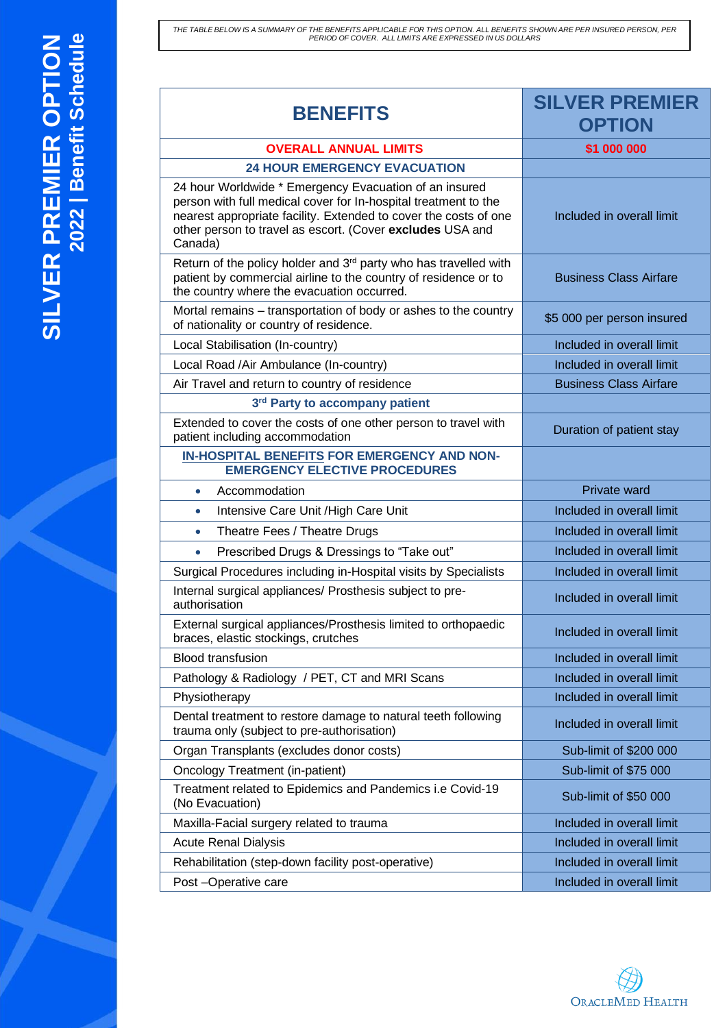THE TABLE BELOW IS A SUMMARY OF THE BENEFITS APPLICABLE FOR THIS OPTION. ALL BENEFITS SHOWN ARE PER INSURED PERSON, PER<br>PERIOD OF COVER. ALL LIMITS ARE EXPRESSED IN US DOLLARS

**SILVER PREMIER OPTION**

**20**  $\sim$  $\sim$ 

**| Benefit Schedule**

| <b>BENEFITS</b>                                                                                                                                                                                                                                                       | <b>SILVER PREMIER</b><br><b>OPTION</b> |
|-----------------------------------------------------------------------------------------------------------------------------------------------------------------------------------------------------------------------------------------------------------------------|----------------------------------------|
| <b>OVERALL ANNUAL LIMITS</b>                                                                                                                                                                                                                                          | \$1 000 000                            |
| <b>24 HOUR EMERGENCY EVACUATION</b>                                                                                                                                                                                                                                   |                                        |
| 24 hour Worldwide * Emergency Evacuation of an insured<br>person with full medical cover for In-hospital treatment to the<br>nearest appropriate facility. Extended to cover the costs of one<br>other person to travel as escort. (Cover excludes USA and<br>Canada) | Included in overall limit              |
| Return of the policy holder and 3 <sup>rd</sup> party who has travelled with<br>patient by commercial airline to the country of residence or to<br>the country where the evacuation occurred.                                                                         | <b>Business Class Airfare</b>          |
| Mortal remains - transportation of body or ashes to the country<br>of nationality or country of residence.                                                                                                                                                            | \$5 000 per person insured             |
| Local Stabilisation (In-country)                                                                                                                                                                                                                                      | Included in overall limit              |
| Local Road /Air Ambulance (In-country)                                                                                                                                                                                                                                | Included in overall limit              |
| Air Travel and return to country of residence                                                                                                                                                                                                                         | <b>Business Class Airfare</b>          |
| 3rd Party to accompany patient                                                                                                                                                                                                                                        |                                        |
| Extended to cover the costs of one other person to travel with<br>patient including accommodation                                                                                                                                                                     | Duration of patient stay               |
| IN-HOSPITAL BENEFITS FOR EMERGENCY AND NON-<br><b>EMERGENCY ELECTIVE PROCEDURES</b>                                                                                                                                                                                   |                                        |
| Accommodation<br>$\bullet$                                                                                                                                                                                                                                            | Private ward                           |
| Intensive Care Unit / High Care Unit<br>$\bullet$                                                                                                                                                                                                                     | Included in overall limit              |
| Theatre Fees / Theatre Drugs<br>$\bullet$                                                                                                                                                                                                                             | Included in overall limit              |
| Prescribed Drugs & Dressings to "Take out"<br>$\bullet$                                                                                                                                                                                                               | Included in overall limit              |
| Surgical Procedures including in-Hospital visits by Specialists                                                                                                                                                                                                       | Included in overall limit              |
| Internal surgical appliances/ Prosthesis subject to pre-<br>authorisation                                                                                                                                                                                             | Included in overall limit              |
| External surgical appliances/Prosthesis limited to orthopaedic<br>braces, elastic stockings, crutches                                                                                                                                                                 | Included in overall limit              |
| <b>Blood transfusion</b>                                                                                                                                                                                                                                              | Included in overall limit              |
| Pathology & Radiology / PET, CT and MRI Scans                                                                                                                                                                                                                         | Included in overall limit              |
| Physiotherapy                                                                                                                                                                                                                                                         | Included in overall limit              |
| Dental treatment to restore damage to natural teeth following<br>trauma only (subject to pre-authorisation)                                                                                                                                                           | Included in overall limit              |
| Organ Transplants (excludes donor costs)                                                                                                                                                                                                                              | Sub-limit of \$200 000                 |
| <b>Oncology Treatment (in-patient)</b>                                                                                                                                                                                                                                | Sub-limit of \$75 000                  |
| Treatment related to Epidemics and Pandemics i.e Covid-19<br>(No Evacuation)                                                                                                                                                                                          | Sub-limit of \$50 000                  |
| Maxilla-Facial surgery related to trauma                                                                                                                                                                                                                              | Included in overall limit              |
| <b>Acute Renal Dialysis</b>                                                                                                                                                                                                                                           | Included in overall limit              |
| Rehabilitation (step-down facility post-operative)                                                                                                                                                                                                                    | Included in overall limit              |
| Post - Operative care                                                                                                                                                                                                                                                 | Included in overall limit              |